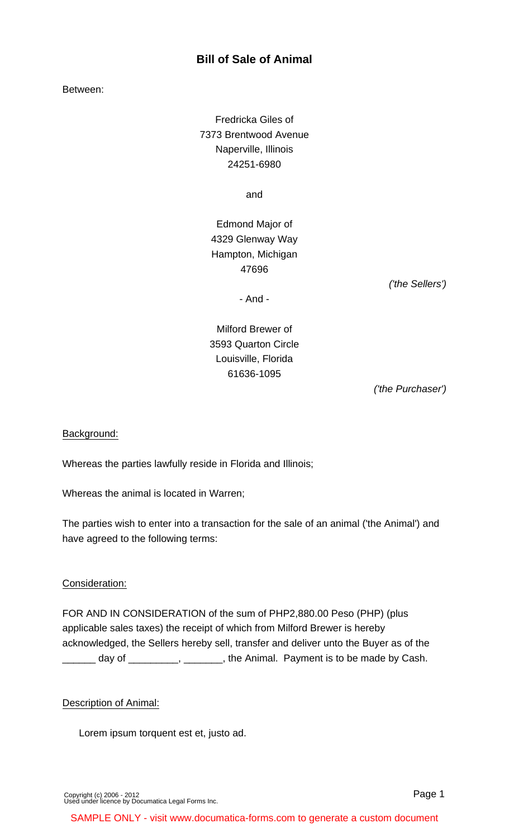## **Bill of Sale of Animal**

Between:

Fredricka Giles of 7373 Brentwood Avenue Naperville, Illinois 24251-6980

and

Edmond Major of 4329 Glenway Way Hampton, Michigan 47696

('the Sellers')

- And -

# Milford Brewer of 3593 Quarton Circle Louisville, Florida 61636-1095

('the Purchaser')

## Background:

Whereas the parties lawfully reside in Florida and Illinois;

Whereas the animal is located in Warren;

The parties wish to enter into a transaction for the sale of an animal ('the Animal') and have agreed to the following terms:

## Consideration:

FOR AND IN CONSIDERATION of the sum of PHP2,880.00 Peso (PHP) (plus applicable sales taxes) the receipt of which from Milford Brewer is hereby acknowledged, the Sellers hereby sell, transfer and deliver unto the Buyer as of the  $\Box$  day of  $\Box$  $\Box$ ,  $\Box$ ,  $\Box$ , the Animal. Payment is to be made by Cash.

#### Description of Animal:

Lorem ipsum torquent est et, justo ad.

[Copyright \(c\) 2006 - 2012](http://www.documatica-forms.com) [Used under licence by Documatica Legal Forms Inc.](http://www.documatica-forms.com) Page 1

SAMPLE ONLY - visit www.documatica-forms.com to generate a custom document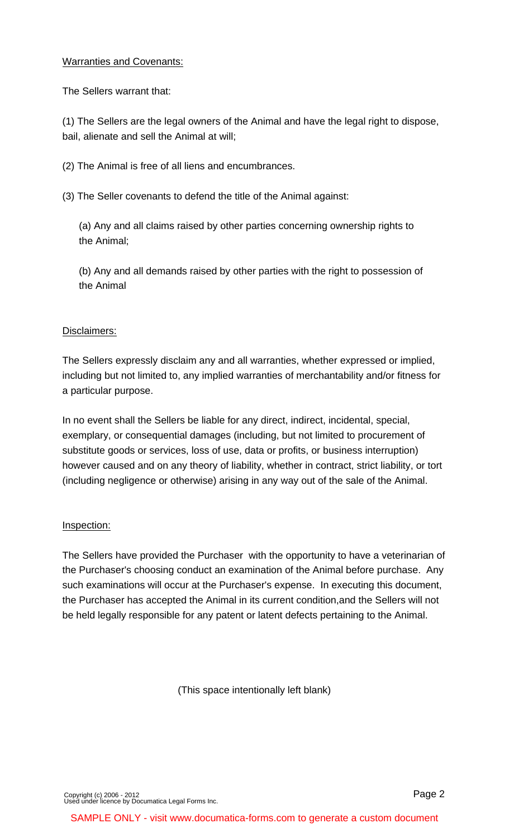#### Warranties and Covenants:

The Sellers warrant that:

(1) The Sellers are the legal owners of the Animal and have the legal right to dispose, bail, alienate and sell the Animal at will;

(2) The Animal is free of all liens and encumbrances.

(3) The Seller covenants to defend the title of the Animal against:

(a) Any and all claims raised by other parties concerning ownership rights to the Animal;

(b) Any and all demands raised by other parties with the right to possession of the Animal

#### Disclaimers:

The Sellers expressly disclaim any and all warranties, whether expressed or implied, including but not limited to, any implied warranties of merchantability and/or fitness for a particular purpose.

In no event shall the Sellers be liable for any direct, indirect, incidental, special, exemplary, or consequential damages (including, but not limited to procurement of substitute goods or services, loss of use, data or profits, or business interruption) however caused and on any theory of liability, whether in contract, strict liability, or tort (including negligence or otherwise) arising in any way out of the sale of the Animal.

#### Inspection:

The Sellers have provided the Purchaser with the opportunity to have a veterinarian of the Purchaser's choosing conduct an examination of the Animal before purchase. Any such examinations will occur at the Purchaser's expense. In executing this document, the Purchaser has accepted the Animal in its current condition,and the Sellers will not be held legally responsible for any patent or latent defects pertaining to the Animal.

(This space intentionally left blank)